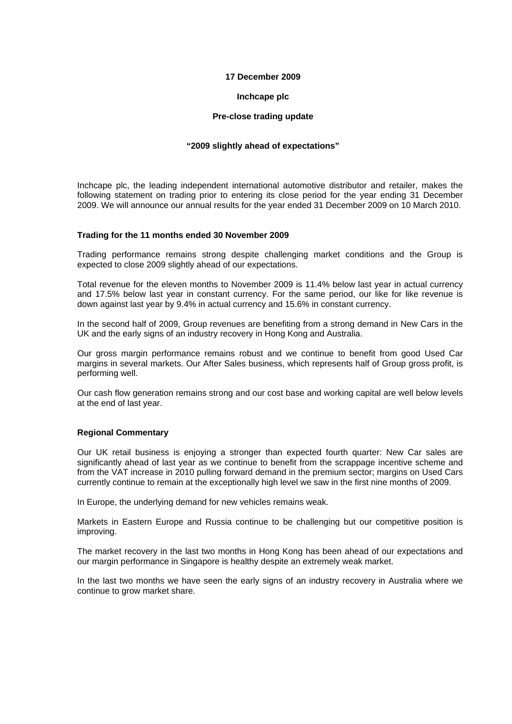# **17 December 2009**

# **Inchcape plc**

# **Pre-close trading update**

# **"2009 slightly ahead of expectations"**

Inchcape plc, the leading independent international automotive distributor and retailer, makes the following statement on trading prior to entering its close period for the year ending 31 December 2009. We will announce our annual results for the year ended 31 December 2009 on 10 March 2010.

## **Trading for the 11 months ended 30 November 2009**

Trading performance remains strong despite challenging market conditions and the Group is expected to close 2009 slightly ahead of our expectations.

Total revenue for the eleven months to November 2009 is 11.4% below last year in actual currency and 17.5% below last year in constant currency. For the same period, our like for like revenue is down against last year by 9.4% in actual currency and 15.6% in constant currency.

In the second half of 2009, Group revenues are benefiting from a strong demand in New Cars in the UK and the early signs of an industry recovery in Hong Kong and Australia.

Our gross margin performance remains robust and we continue to benefit from good Used Car margins in several markets. Our After Sales business, which represents half of Group gross profit, is performing well.

Our cash flow generation remains strong and our cost base and working capital are well below levels at the end of last year.

## **Regional Commentary**

Our UK retail business is enjoying a stronger than expected fourth quarter: New Car sales are significantly ahead of last year as we continue to benefit from the scrappage incentive scheme and from the VAT increase in 2010 pulling forward demand in the premium sector; margins on Used Cars currently continue to remain at the exceptionally high level we saw in the first nine months of 2009.

In Europe, the underlying demand for new vehicles remains weak.

Markets in Eastern Europe and Russia continue to be challenging but our competitive position is improving.

The market recovery in the last two months in Hong Kong has been ahead of our expectations and our margin performance in Singapore is healthy despite an extremely weak market.

In the last two months we have seen the early signs of an industry recovery in Australia where we continue to grow market share.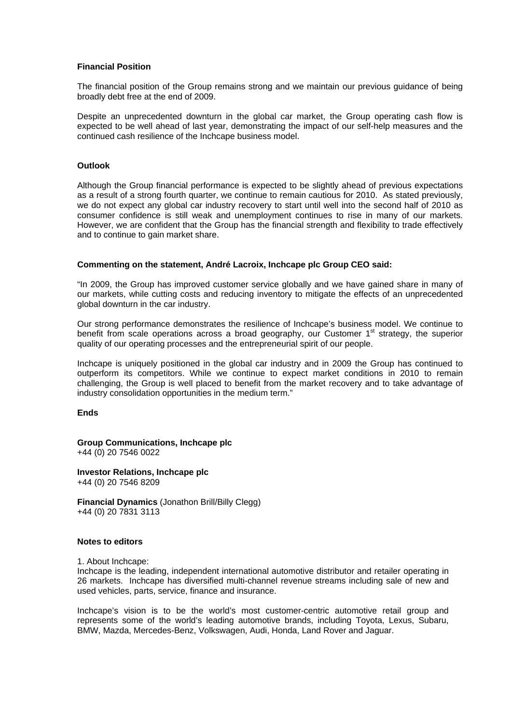## **Financial Position**

The financial position of the Group remains strong and we maintain our previous guidance of being broadly debt free at the end of 2009.

Despite an unprecedented downturn in the global car market, the Group operating cash flow is expected to be well ahead of last year, demonstrating the impact of our self-help measures and the continued cash resilience of the Inchcape business model.

#### **Outlook**

Although the Group financial performance is expected to be slightly ahead of previous expectations as a result of a strong fourth quarter, we continue to remain cautious for 2010. As stated previously, we do not expect any global car industry recovery to start until well into the second half of 2010 as consumer confidence is still weak and unemployment continues to rise in many of our markets. However, we are confident that the Group has the financial strength and flexibility to trade effectively and to continue to gain market share.

#### **Commenting on the statement, André Lacroix, Inchcape plc Group CEO said:**

"In 2009, the Group has improved customer service globally and we have gained share in many of our markets, while cutting costs and reducing inventory to mitigate the effects of an unprecedented global downturn in the car industry.

Our strong performance demonstrates the resilience of Inchcape's business model. We continue to benefit from scale operations across a broad geography, our Customer  $1<sup>st</sup>$  strategy, the superior quality of our operating processes and the entrepreneurial spirit of our people.

Inchcape is uniquely positioned in the global car industry and in 2009 the Group has continued to outperform its competitors. While we continue to expect market conditions in 2010 to remain challenging, the Group is well placed to benefit from the market recovery and to take advantage of industry consolidation opportunities in the medium term."

#### **Ends**

**Group Communications, Inchcape plc**  +44 (0) 20 7546 0022

**Investor Relations, Inchcape plc**  +44 (0) 20 7546 8209

**Financial Dynamics** (Jonathon Brill/Billy Clegg) +44 (0) 20 7831 3113

# **Notes to editors**

1. About Inchcape:

Inchcape is the leading, independent international automotive distributor and retailer operating in 26 markets. Inchcape has diversified multi-channel revenue streams including sale of new and used vehicles, parts, service, finance and insurance.

Inchcape's vision is to be the world's most customer-centric automotive retail group and represents some of the world's leading automotive brands, including Toyota, Lexus, Subaru, BMW, Mazda, Mercedes-Benz, Volkswagen, Audi, Honda, Land Rover and Jaguar.